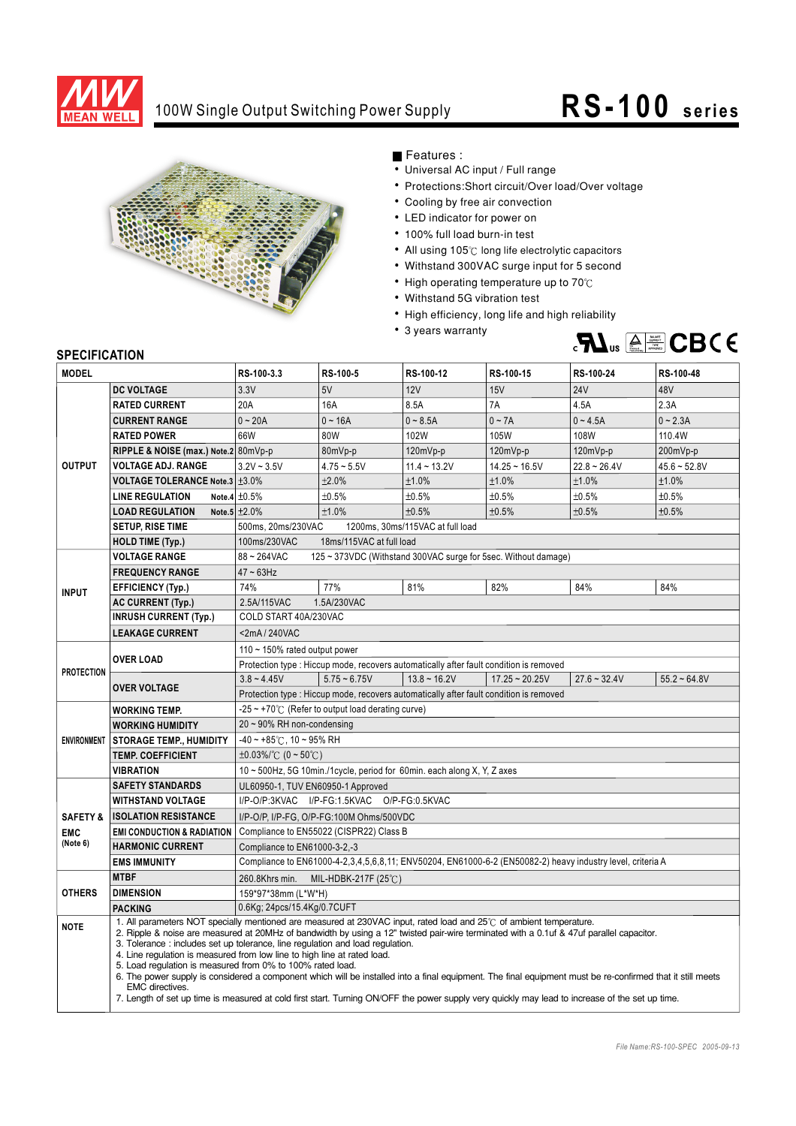

## 100W Single Output Switching Power Supply **RS-100** series



Features :

- Universal AC input / Full range
- Protections: Short circuit/Over load/Over voltage
- Cooling by free air convection
- LED indicator for power on
- 100% full load burn-in test
- All using 105°C long life electrolytic capacitors
- Withstand 300VAC surge input for 5 second
- High operating temperature up to  $70^{\circ}$ C
- Withstand 5G vibration test
- High efficiency, long life and high reliability
- 3 years warranty



## **SPECIFICATION**

| יוטו ועה וועם וט<br><b>MODEL</b>              |                                       | RS-100-3.3                                                                                                                                                                                                                                                                                                                                                                                                                                                                                                                                                                                                                                                                                                                                                                                                  | RS-100-5       | RS-100-12         | RS-100-15        | RS-100-24                                                                                                  | RS-100-48         |  |
|-----------------------------------------------|---------------------------------------|-------------------------------------------------------------------------------------------------------------------------------------------------------------------------------------------------------------------------------------------------------------------------------------------------------------------------------------------------------------------------------------------------------------------------------------------------------------------------------------------------------------------------------------------------------------------------------------------------------------------------------------------------------------------------------------------------------------------------------------------------------------------------------------------------------------|----------------|-------------------|------------------|------------------------------------------------------------------------------------------------------------|-------------------|--|
|                                               |                                       |                                                                                                                                                                                                                                                                                                                                                                                                                                                                                                                                                                                                                                                                                                                                                                                                             |                |                   |                  |                                                                                                            |                   |  |
| <b>OUTPUT</b>                                 | <b>DC VOLTAGE</b>                     | 3.3V                                                                                                                                                                                                                                                                                                                                                                                                                                                                                                                                                                                                                                                                                                                                                                                                        | 5V             | 12V               | 15V              | <b>24V</b>                                                                                                 | 48V               |  |
|                                               | <b>RATED CURRENT</b>                  | 20A                                                                                                                                                                                                                                                                                                                                                                                                                                                                                                                                                                                                                                                                                                                                                                                                         | 16A            | 8.5A              | 7A               | 4.5A                                                                                                       | 2.3A              |  |
|                                               | <b>CURRENT RANGE</b>                  | $0 - 20A$                                                                                                                                                                                                                                                                                                                                                                                                                                                                                                                                                                                                                                                                                                                                                                                                   | $0 - 16A$      | $0 - 8.5A$        | $0 - 7A$         | $0 - 4.5A$                                                                                                 | $0 - 2.3A$        |  |
|                                               | <b>RATED POWER</b>                    | 66W                                                                                                                                                                                                                                                                                                                                                                                                                                                                                                                                                                                                                                                                                                                                                                                                         | 80W            | 102W              | 105W             | 108W                                                                                                       | 110.4W            |  |
|                                               | RIPPLE & NOISE (max.) Note.2 80mVp-p  |                                                                                                                                                                                                                                                                                                                                                                                                                                                                                                                                                                                                                                                                                                                                                                                                             | 80mVp-p        | 120mVp-p          | 120mVp-p         | 120mVp-p                                                                                                   | 200mVp-p          |  |
|                                               | <b>VOLTAGE ADJ. RANGE</b>             | $3.2V - 3.5V$                                                                                                                                                                                                                                                                                                                                                                                                                                                                                                                                                                                                                                                                                                                                                                                               | $4.75 - 5.5V$  | $11.4 - 13.2V$    | $14.25 - 16.5V$  | $22.8 - 26.4V$                                                                                             | $45.6 - 52.8V$    |  |
|                                               | <b>VOLTAGE TOLERANCE Note.3 ±3.0%</b> |                                                                                                                                                                                                                                                                                                                                                                                                                                                                                                                                                                                                                                                                                                                                                                                                             | ±2.0%          | ±1.0%             | ±1.0%            | ±1.0%                                                                                                      | ±1.0%             |  |
|                                               | <b>LINE REGULATION</b>                | Note.4 $\pm 0.5\%$                                                                                                                                                                                                                                                                                                                                                                                                                                                                                                                                                                                                                                                                                                                                                                                          | ±0.5%          | ±0.5%             | ±0.5%            | ±0.5%                                                                                                      | ±0.5%             |  |
|                                               | <b>LOAD REGULATION</b>                | Note.5 $\pm 2.0\%$                                                                                                                                                                                                                                                                                                                                                                                                                                                                                                                                                                                                                                                                                                                                                                                          | ±1.0%          | ±0.5%             | ±0.5%            | ±0.5%                                                                                                      | ±0.5%             |  |
|                                               | <b>SETUP, RISE TIME</b>               | 500ms, 20ms/230VAC<br>1200ms, 30ms/115VAC at full load                                                                                                                                                                                                                                                                                                                                                                                                                                                                                                                                                                                                                                                                                                                                                      |                |                   |                  |                                                                                                            |                   |  |
|                                               | <b>HOLD TIME (Typ.)</b>               | 18ms/115VAC at full load<br>100ms/230VAC                                                                                                                                                                                                                                                                                                                                                                                                                                                                                                                                                                                                                                                                                                                                                                    |                |                   |                  |                                                                                                            |                   |  |
| <b>INPUT</b>                                  | <b>VOLTAGE RANGE</b>                  | 88~264VAC<br>125 ~ 373VDC (Withstand 300VAC surge for 5sec. Without damage)                                                                                                                                                                                                                                                                                                                                                                                                                                                                                                                                                                                                                                                                                                                                 |                |                   |                  |                                                                                                            |                   |  |
|                                               | <b>FREQUENCY RANGE</b>                | $47 \sim 63$ Hz                                                                                                                                                                                                                                                                                                                                                                                                                                                                                                                                                                                                                                                                                                                                                                                             |                |                   |                  |                                                                                                            |                   |  |
|                                               | <b>EFFICIENCY (Typ.)</b>              | 74%                                                                                                                                                                                                                                                                                                                                                                                                                                                                                                                                                                                                                                                                                                                                                                                                         | 77%            | 81%               | 82%              | 84%                                                                                                        | 84%               |  |
|                                               | <b>AC CURRENT (Typ.)</b>              | 2.5A/115VAC<br>1.5A/230VAC                                                                                                                                                                                                                                                                                                                                                                                                                                                                                                                                                                                                                                                                                                                                                                                  |                |                   |                  |                                                                                                            |                   |  |
|                                               | <b>INRUSH CURRENT (Typ.)</b>          | COLD START 40A/230VAC                                                                                                                                                                                                                                                                                                                                                                                                                                                                                                                                                                                                                                                                                                                                                                                       |                |                   |                  |                                                                                                            |                   |  |
|                                               | <b>LEAKAGE CURRENT</b>                | <2mA/240VAC                                                                                                                                                                                                                                                                                                                                                                                                                                                                                                                                                                                                                                                                                                                                                                                                 |                |                   |                  |                                                                                                            |                   |  |
| <b>PROTECTION</b>                             | <b>OVER LOAD</b>                      | 110 $\sim$ 150% rated output power                                                                                                                                                                                                                                                                                                                                                                                                                                                                                                                                                                                                                                                                                                                                                                          |                |                   |                  |                                                                                                            |                   |  |
|                                               |                                       | Protection type : Hiccup mode, recovers automatically after fault condition is removed                                                                                                                                                                                                                                                                                                                                                                                                                                                                                                                                                                                                                                                                                                                      |                |                   |                  |                                                                                                            |                   |  |
|                                               | <b>OVER VOLTAGE</b>                   | $3.8 - 4.45V$                                                                                                                                                                                                                                                                                                                                                                                                                                                                                                                                                                                                                                                                                                                                                                                               | $5.75 - 6.75V$ | $13.8 \sim 16.2V$ | $17.25 - 20.25V$ | $27.6 - 32.4V$                                                                                             | $55.2 \div 64.8V$ |  |
|                                               |                                       | Protection type : Hiccup mode, recovers automatically after fault condition is removed                                                                                                                                                                                                                                                                                                                                                                                                                                                                                                                                                                                                                                                                                                                      |                |                   |                  |                                                                                                            |                   |  |
| <b>ENVIRONMENT</b>                            | <b>WORKING TEMP.</b>                  | $-25 \sim +70^{\circ}$ (Refer to output load derating curve)                                                                                                                                                                                                                                                                                                                                                                                                                                                                                                                                                                                                                                                                                                                                                |                |                   |                  |                                                                                                            |                   |  |
|                                               | <b>WORKING HUMIDITY</b>               | $20 \sim 90\%$ RH non-condensing                                                                                                                                                                                                                                                                                                                                                                                                                                                                                                                                                                                                                                                                                                                                                                            |                |                   |                  |                                                                                                            |                   |  |
|                                               | <b>STORAGE TEMP., HUMIDITY</b>        | $-40 \sim +85^{\circ}$ C, 10 ~ 95% RH                                                                                                                                                                                                                                                                                                                                                                                                                                                                                                                                                                                                                                                                                                                                                                       |                |                   |                  |                                                                                                            |                   |  |
|                                               | <b>TEMP. COEFFICIENT</b>              | $\pm 0.03\%$ /°C (0 ~ 50°C)                                                                                                                                                                                                                                                                                                                                                                                                                                                                                                                                                                                                                                                                                                                                                                                 |                |                   |                  |                                                                                                            |                   |  |
|                                               | <b>VIBRATION</b>                      | 10 ~ 500Hz, 5G 10min./1cycle, period for 60min. each along X, Y, Z axes                                                                                                                                                                                                                                                                                                                                                                                                                                                                                                                                                                                                                                                                                                                                     |                |                   |                  |                                                                                                            |                   |  |
|                                               | <b>SAFETY STANDARDS</b>               | UL60950-1, TUV EN60950-1 Approved                                                                                                                                                                                                                                                                                                                                                                                                                                                                                                                                                                                                                                                                                                                                                                           |                |                   |                  |                                                                                                            |                   |  |
| <b>SAFETY &amp;</b><br><b>EMC</b><br>(Note 6) | <b>WITHSTAND VOLTAGE</b>              | I/P-O/P:3KVAC I/P-FG:1.5KVAC O/P-FG:0.5KVAC                                                                                                                                                                                                                                                                                                                                                                                                                                                                                                                                                                                                                                                                                                                                                                 |                |                   |                  |                                                                                                            |                   |  |
|                                               | <b>ISOLATION RESISTANCE</b>           | I/P-O/P, I/P-FG, O/P-FG:100M Ohms/500VDC                                                                                                                                                                                                                                                                                                                                                                                                                                                                                                                                                                                                                                                                                                                                                                    |                |                   |                  |                                                                                                            |                   |  |
|                                               | <b>EMI CONDUCTION &amp; RADIATION</b> | Compliance to EN55022 (CISPR22) Class B                                                                                                                                                                                                                                                                                                                                                                                                                                                                                                                                                                                                                                                                                                                                                                     |                |                   |                  |                                                                                                            |                   |  |
|                                               | <b>HARMONIC CURRENT</b>               | Compliance to EN61000-3-2,-3                                                                                                                                                                                                                                                                                                                                                                                                                                                                                                                                                                                                                                                                                                                                                                                |                |                   |                  |                                                                                                            |                   |  |
|                                               | <b>EMS IMMUNITY</b>                   |                                                                                                                                                                                                                                                                                                                                                                                                                                                                                                                                                                                                                                                                                                                                                                                                             |                |                   |                  | Compliance to EN61000-4-2,3,4,5,6,8,11; ENV50204, EN61000-6-2 (EN50082-2) heavy industry level, criteria A |                   |  |
| <b>OTHERS</b>                                 | <b>MTBF</b>                           | 260.8Khrs min.<br>MIL-HDBK-217F (25 $\degree$ C)                                                                                                                                                                                                                                                                                                                                                                                                                                                                                                                                                                                                                                                                                                                                                            |                |                   |                  |                                                                                                            |                   |  |
|                                               | <b>DIMENSION</b>                      | 159*97*38mm (L*W*H)                                                                                                                                                                                                                                                                                                                                                                                                                                                                                                                                                                                                                                                                                                                                                                                         |                |                   |                  |                                                                                                            |                   |  |
|                                               | <b>PACKING</b>                        | 0.6Kg; 24pcs/15.4Kg/0.7CUFT                                                                                                                                                                                                                                                                                                                                                                                                                                                                                                                                                                                                                                                                                                                                                                                 |                |                   |                  |                                                                                                            |                   |  |
| <b>NOTE</b>                                   | <b>EMC</b> directives.                | 1. All parameters NOT specially mentioned are measured at 230VAC input, rated load and 25°C of ambient temperature.<br>2. Ripple & noise are measured at 20MHz of bandwidth by using a 12" twisted pair-wire terminated with a 0.1uf & 47uf parallel capacitor.<br>3. Tolerance: includes set up tolerance, line regulation and load regulation.<br>4. Line regulation is measured from low line to high line at rated load.<br>5. Load regulation is measured from 0% to 100% rated load.<br>6. The power supply is considered a component which will be installed into a final equipment. The final equipment must be re-confirmed that it still meets<br>7. Length of set up time is measured at cold first start. Turning ON/OFF the power supply very quickly may lead to increase of the set up time. |                |                   |                  |                                                                                                            |                   |  |